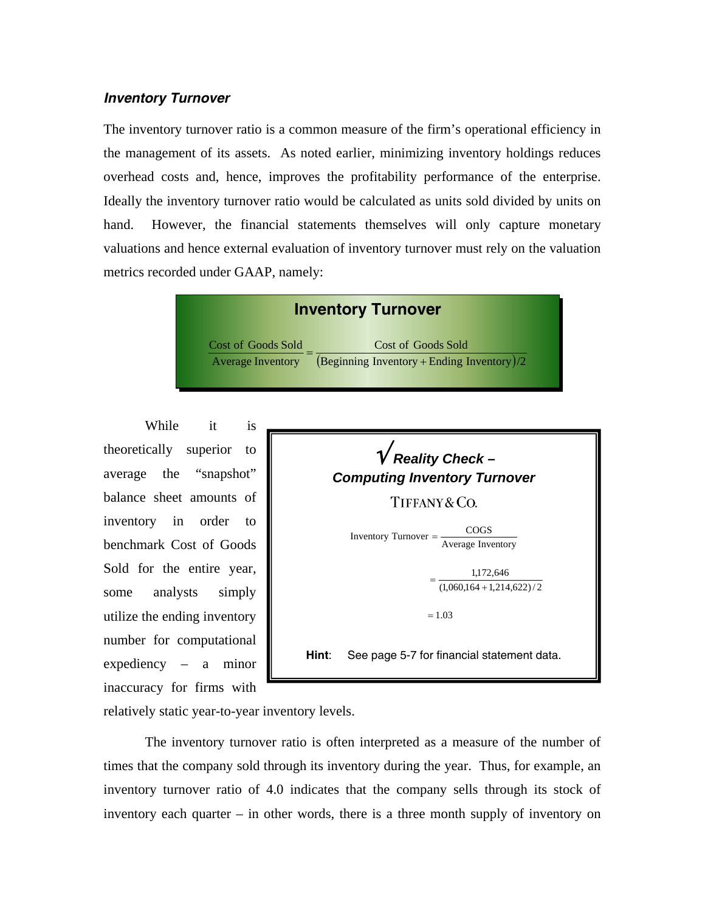## *Inventory Turnover*

The inventory turnover ratio is a common measure of the firm's operational efficiency in the management of its assets. As noted earlier, minimizing inventory holdings reduces overhead costs and, hence, improves the profitability performance of the enterprise. Ideally the inventory turnover ratio would be calculated as units sold divided by units on hand. However, the financial statements themselves will only capture monetary valuations and hence external evaluation of inventory turnover must rely on the valuation metrics recorded under GAAP, namely:



While it is theoretically superior to average the "snapshot" balance sheet amounts of inventory in order to benchmark Cost of Goods Sold for the entire year, some analysts simply utilize the ending inventory number for computational expediency – a minor inaccuracy for firms with



relatively static year-to-year inventory levels.

 The inventory turnover ratio is often interpreted as a measure of the number of times that the company sold through its inventory during the year. Thus, for example, an inventory turnover ratio of 4.0 indicates that the company sells through its stock of inventory each quarter – in other words, there is a three month supply of inventory on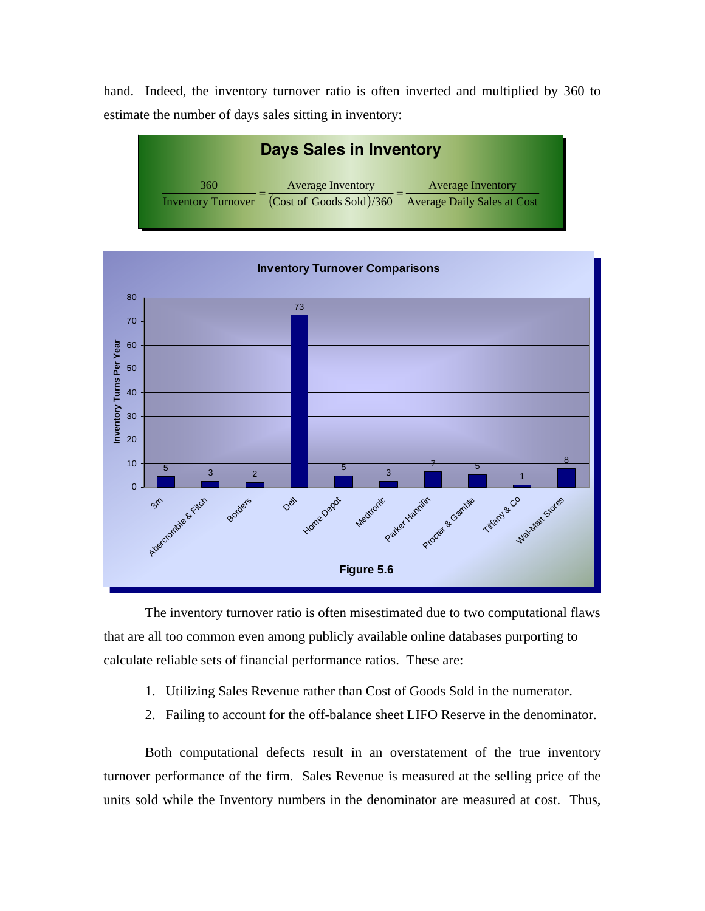hand. Indeed, the inventory turnover ratio is often inverted and multiplied by 360 to estimate the number of days sales sitting in inventory:





 The inventory turnover ratio is often misestimated due to two computational flaws that are all too common even among publicly available online databases purporting to calculate reliable sets of financial performance ratios. These are:

- 1. Utilizing Sales Revenue rather than Cost of Goods Sold in the numerator.
- 2. Failing to account for the off-balance sheet LIFO Reserve in the denominator.

 Both computational defects result in an overstatement of the true inventory turnover performance of the firm. Sales Revenue is measured at the selling price of the units sold while the Inventory numbers in the denominator are measured at cost. Thus,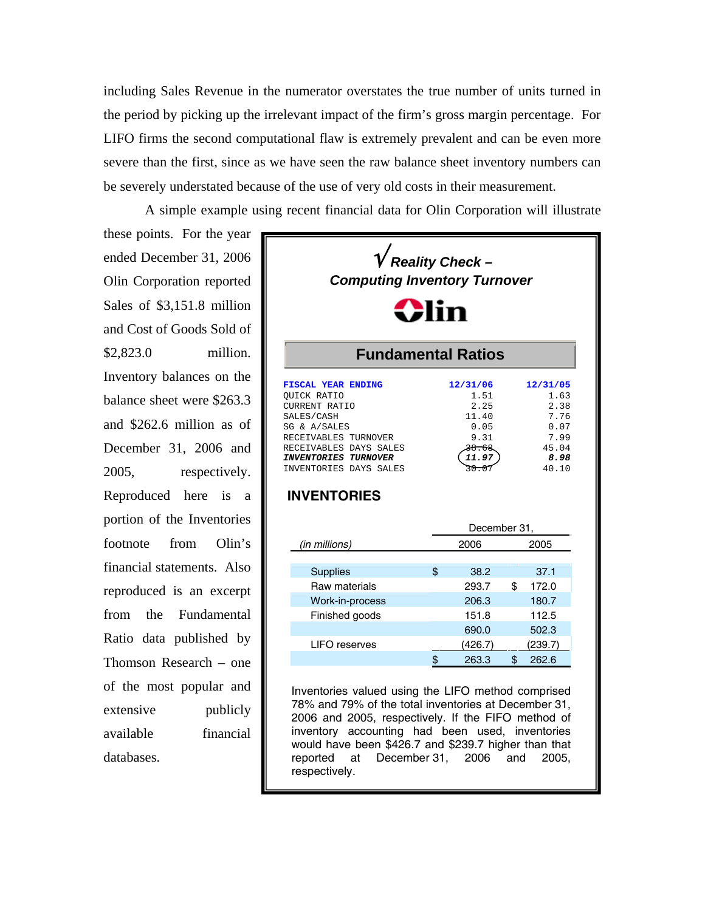including Sales Revenue in the numerator overstates the true number of units turned in the period by picking up the irrelevant impact of the firm's gross margin percentage. For LIFO firms the second computational flaw is extremely prevalent and can be even more severe than the first, since as we have seen the raw balance sheet inventory numbers can be severely understated because of the use of very old costs in their measurement.

A simple example using recent financial data for Olin Corporation will illustrate

these points. For the year ended December 31, 2006 Olin Corporation reported Sales of \$3,151.8 million and Cost of Goods Sold of \$2,823.0 million. Inventory balances on the balance sheet were \$263.3 and \$262.6 million as of December 31, 2006 and 2005, respectively. Reproduced here is a portion of the Inventories footnote from Olin's financial statements. Also reproduced is an excerpt from the Fundamental Ratio data published by Thomson Research – one of the most popular and extensive publicly available financial databases.



2006 and 2005, respectively. If the FIFO method of inventory accounting had been used, inventories would have been \$426.7 and \$239.7 higher than that reported at December 31, 2006 and 2005, respectively.